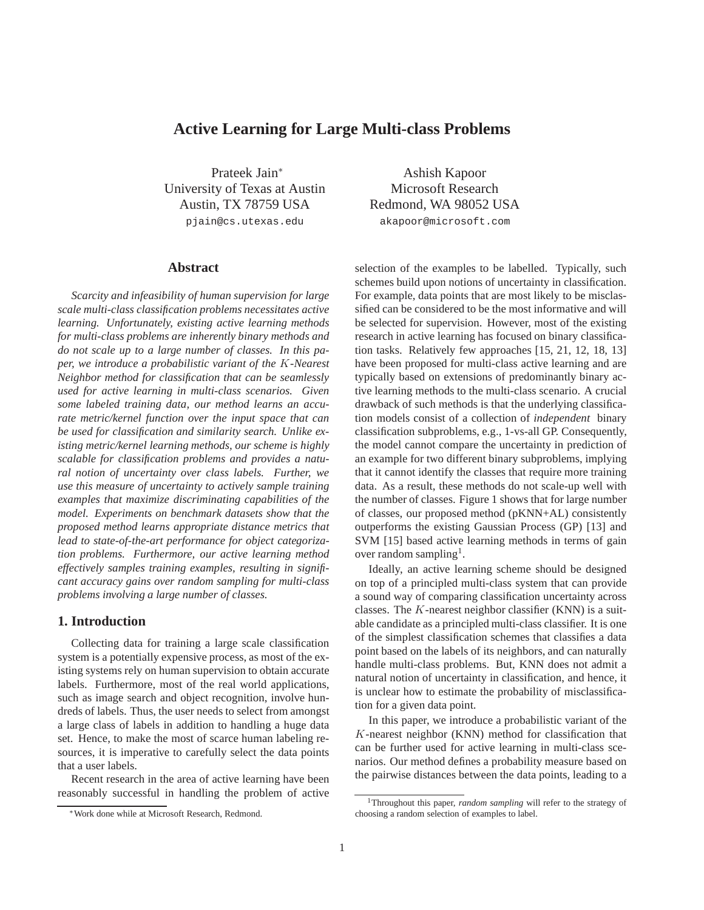# **Active Learning for Large Multi-class Problems**

Prateek Jain<sup>∗</sup> University of Texas at Austin Austin, TX 78759 USA pjain@cs.utexas.edu

# **Abstract**

*Scarcity and infeasibility of human supervision for large scale multi-class classification problems necessitates active learning. Unfortunately, existing active learning methods for multi-class problems are inherently binary methods and do not scale up to a large number of classes. In this paper, we introduce a probabilistic variant of the* K*-Nearest Neighbor method for classification that can be seamlessly used for active learning in multi-class scenarios. Given some labeled training data, our method learns an accurate metric/kernel function over the input space that can be used for classification and similarity search. Unlike existing metric/kernel learning methods, our scheme is highly scalable for classification problems and provides a natural notion of uncertainty over class labels. Further, we use this measure of uncertainty to actively sample training examples that maximize discriminating capabilities of the model. Experiments on benchmark datasets show that the proposed method learns appropriate distance metrics that lead to state-of-the-art performance for object categorization problems. Furthermore, our active learning method effectively samples training examples, resulting in significant accuracy gains over random sampling for multi-class problems involving a large number of classes.*

### **1. Introduction**

Collecting data for training a large scale classification system is a potentially expensive process, as most of the existing systems rely on human supervision to obtain accurate labels. Furthermore, most of the real world applications, such as image search and object recognition, involve hundreds of labels. Thus, the user needs to select from amongst a large class of labels in addition to handling a huge data set. Hence, to make the most of scarce human labeling resources, it is imperative to carefully select the data points that a user labels.

Recent research in the area of active learning have been reasonably successful in handling the problem of active

Ashish Kapoor Microsoft Research Redmond, WA 98052 USA akapoor@microsoft.com

selection of the examples to be labelled. Typically, such schemes build upon notions of uncertainty in classification. For example, data points that are most likely to be misclassified can be considered to be the most informative and will be selected for supervision. However, most of the existing research in active learning has focused on binary classification tasks. Relatively few approaches [15, 21, 12, 18, 13] have been proposed for multi-class active learning and are typically based on extensions of predominantly binary active learning methods to the multi-class scenario. A crucial drawback of such methods is that the underlying classification models consist of a collection of *independent* binary classification subproblems, e.g., 1-vs-all GP. Consequently, the model cannot compare the uncertainty in prediction of an example for two different binary subproblems, implying that it cannot identify the classes that require more training data. As a result, these methods do not scale-up well with the number of classes. Figure 1 shows that for large number of classes, our proposed method (pKNN+AL) consistently outperforms the existing Gaussian Process (GP) [13] and SVM [15] based active learning methods in terms of gain over random sampling<sup>1</sup>.

Ideally, an active learning scheme should be designed on top of a principled multi-class system that can provide a sound way of comparing classification uncertainty across classes. The  $K$ -nearest neighbor classifier (KNN) is a suitable candidate as a principled multi-class classifier. It is one of the simplest classification schemes that classifies a data point based on the labels of its neighbors, and can naturally handle multi-class problems. But, KNN does not admit a natural notion of uncertainty in classification, and hence, it is unclear how to estimate the probability of misclassification for a given data point.

In this paper, we introduce a probabilistic variant of the K-nearest neighbor (KNN) method for classification that can be further used for active learning in multi-class scenarios. Our method defines a probability measure based on the pairwise distances between the data points, leading to a

<sup>∗</sup>Work done while at Microsoft Research, Redmond.

<sup>1</sup>Throughout this paper, *random sampling* will refer to the strategy of choosing a random selection of examples to label.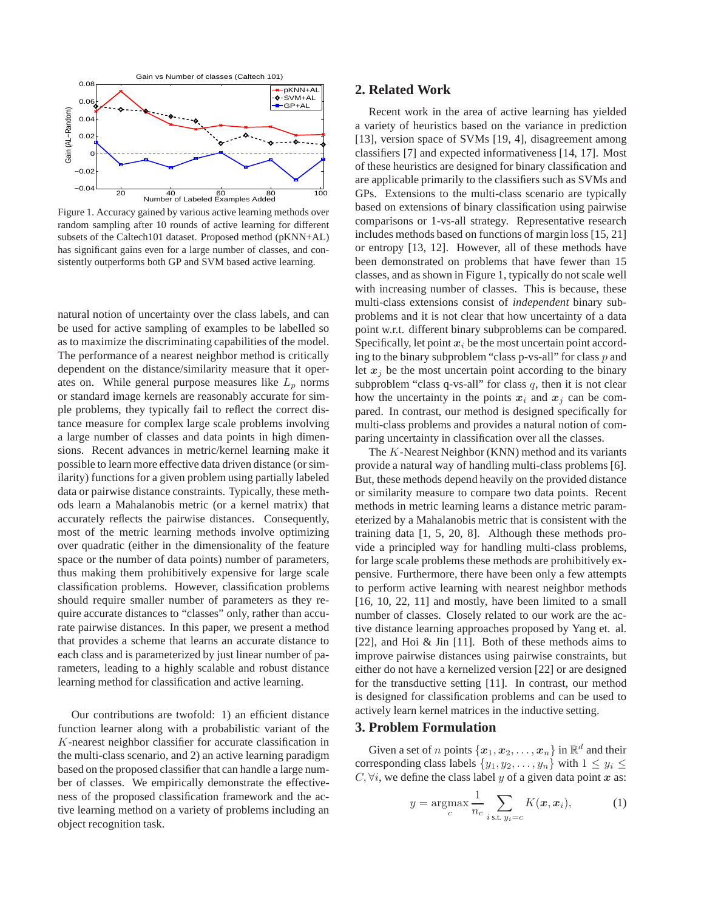

Figure 1. Accuracy gained by various active learning methods over random sampling after 10 rounds of active learning for different subsets of the Caltech101 dataset. Proposed method (pKNN+AL) has significant gains even for a large number of classes, and consistently outperforms both GP and SVM based active learning.

natural notion of uncertainty over the class labels, and can be used for active sampling of examples to be labelled so as to maximize the discriminating capabilities of the model. The performance of a nearest neighbor method is critically dependent on the distance/similarity measure that it operates on. While general purpose measures like  $L_p$  norms or standard image kernels are reasonably accurate for simple problems, they typically fail to reflect the correct distance measure for complex large scale problems involving a large number of classes and data points in high dimensions. Recent advances in metric/kernel learning make it possible to learn more effective data driven distance (or similarity) functions for a given problem using partially labeled data or pairwise distance constraints. Typically, these methods learn a Mahalanobis metric (or a kernel matrix) that accurately reflects the pairwise distances. Consequently, most of the metric learning methods involve optimizing over quadratic (either in the dimensionality of the feature space or the number of data points) number of parameters, thus making them prohibitively expensive for large scale classification problems. However, classification problems should require smaller number of parameters as they require accurate distances to "classes" only, rather than accurate pairwise distances. In this paper, we present a method that provides a scheme that learns an accurate distance to each class and is parameterized by just linear number of parameters, leading to a highly scalable and robust distance learning method for classification and active learning.

Our contributions are twofold: 1) an efficient distance function learner along with a probabilistic variant of the K-nearest neighbor classifier for accurate classification in the multi-class scenario, and 2) an active learning paradigm based on the proposed classifier that can handle a large number of classes. We empirically demonstrate the effectiveness of the proposed classification framework and the active learning method on a variety of problems including an object recognition task.

# **2. Related Work**

Recent work in the area of active learning has yielded a variety of heuristics based on the variance in prediction [13], version space of SVMs [19, 4], disagreement among classifiers [7] and expected informativeness [14, 17]. Most of these heuristics are designed for binary classification and are applicable primarily to the classifiers such as SVMs and GPs. Extensions to the multi-class scenario are typically based on extensions of binary classification using pairwise comparisons or 1-vs-all strategy. Representative research includes methods based on functions of margin loss [15, 21] or entropy [13, 12]. However, all of these methods have been demonstrated on problems that have fewer than 15 classes, and as shown in Figure 1, typically do not scale well with increasing number of classes. This is because, these multi-class extensions consist of *independent* binary subproblems and it is not clear that how uncertainty of a data point w.r.t. different binary subproblems can be compared. Specifically, let point  $x_i$  be the most uncertain point according to the binary subproblem "class p-vs-all" for class  $p$  and let  $x_j$  be the most uncertain point according to the binary subproblem "class q-vs-all" for class  $q$ , then it is not clear how the uncertainty in the points  $x_i$  and  $x_j$  can be compared. In contrast, our method is designed specifically for multi-class problems and provides a natural notion of comparing uncertainty in classification over all the classes.

The K-Nearest Neighbor (KNN) method and its variants provide a natural way of handling multi-class problems [6]. But, these methods depend heavily on the provided distance or similarity measure to compare two data points. Recent methods in metric learning learns a distance metric parameterized by a Mahalanobis metric that is consistent with the training data [1, 5, 20, 8]. Although these methods provide a principled way for handling multi-class problems, for large scale problems these methods are prohibitively expensive. Furthermore, there have been only a few attempts to perform active learning with nearest neighbor methods [16, 10, 22, 11] and mostly, have been limited to a small number of classes. Closely related to our work are the active distance learning approaches proposed by Yang et. al. [22], and Hoi & Jin [11]. Both of these methods aims to improve pairwise distances using pairwise constraints, but either do not have a kernelized version [22] or are designed for the transductive setting [11]. In contrast, our method is designed for classification problems and can be used to actively learn kernel matrices in the inductive setting.

# **3. Problem Formulation**

Given a set of *n* points  $\{x_1, x_2, \ldots, x_n\}$  in  $\mathbb{R}^d$  and their corresponding class labels  $\{y_1, y_2, \ldots, y_n\}$  with  $1 \leq y_i \leq$  $C$ ,  $\forall i$ , we define the class label y of a given data point x as:

$$
y = \operatorname*{argmax}_{c} \frac{1}{n_c} \sum_{i \text{ s.t. } y_i = c} K(\boldsymbol{x}, \boldsymbol{x}_i), \tag{1}
$$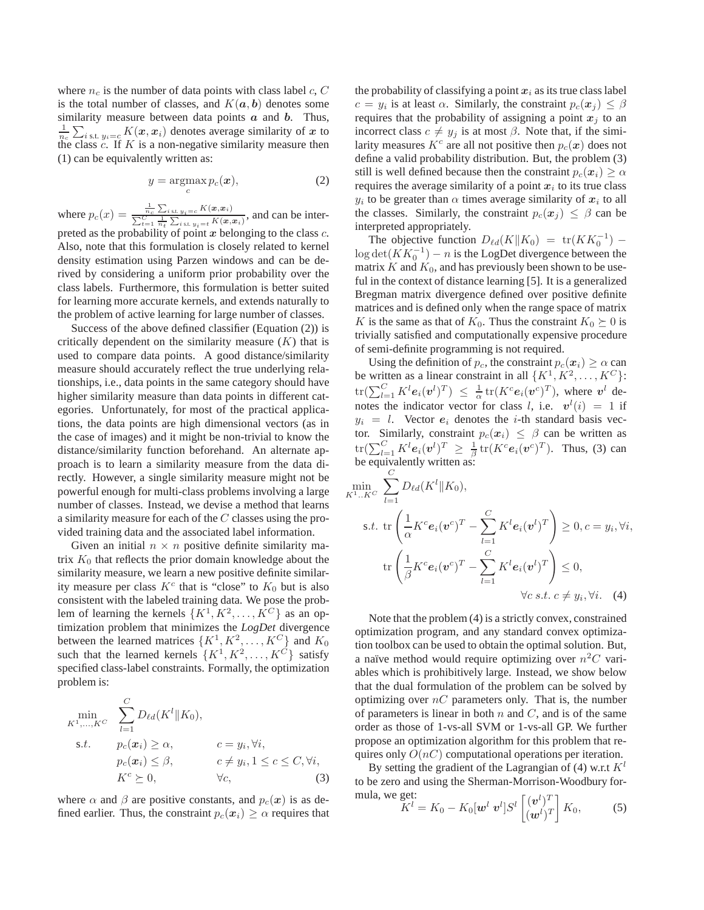where  $n_c$  is the number of data points with class label c, C is the total number of classes, and  $K(a, b)$  denotes some similarity measure between data points  $a$  and  $b$ . Thus,  $\frac{1}{n_c} \sum_{i \text{ s.t. } y_i=c} K(\boldsymbol{x}, \boldsymbol{x}_i)$  denotes average similarity of  $\boldsymbol{x}$  to the class  $\tilde{c}$ . If  $K$  is a non-negative similarity measure then (1) can be equivalently written as:

$$
y = \underset{c}{\operatorname{argmax}} p_c(\boldsymbol{x}), \tag{2}
$$

where  $p_c(x) = \frac{\frac{1}{n_c} \sum_{i \text{ s.t. } y_i = c} K(x, x_i)}{\sum_{i \in C} \frac{1}{n_c} \sum_{j \in C} K(x, x_j)}$  $\frac{n_c}{\sum_{t=1}^C \frac{1}{n_t} \sum_{i \text{ s.t. } y_i = t} X(\boldsymbol{x}, \boldsymbol{x}_i)}$ , and can be inter-

preted as the probability of point  $x$  belonging to the class  $c$ . Also, note that this formulation is closely related to kernel density estimation using Parzen windows and can be derived by considering a uniform prior probability over the class labels. Furthermore, this formulation is better suited for learning more accurate kernels, and extends naturally to the problem of active learning for large number of classes.

Success of the above defined classifier (Equation (2)) is critically dependent on the similarity measure  $(K)$  that is used to compare data points. A good distance/similarity measure should accurately reflect the true underlying relationships, i.e., data points in the same category should have higher similarity measure than data points in different categories. Unfortunately, for most of the practical applications, the data points are high dimensional vectors (as in the case of images) and it might be non-trivial to know the distance/similarity function beforehand. An alternate approach is to learn a similarity measure from the data directly. However, a single similarity measure might not be powerful enough for multi-class problems involving a large number of classes. Instead, we devise a method that learns a similarity measure for each of the C classes using the provided training data and the associated label information.

Given an initial  $n \times n$  positive definite similarity matrix  $K_0$  that reflects the prior domain knowledge about the similarity measure, we learn a new positive definite similarity measure per class  $K^c$  that is "close" to  $K_0$  but is also consistent with the labeled training data. We pose the problem of learning the kernels  $\{K^1, K^2, \ldots, K^C\}$  as an optimization problem that minimizes the *LogDet* divergence between the learned matrices  $\{K^1, K^2, \dots, K^C\}$  and  $K_0$ such that the learned kernels  $\{K^1, K^2, \dots, K^C\}$  satisfy specified class-label constraints. Formally, the optimization problem is:

$$
\min_{K^1,\ldots,K^C} \sum_{l=1}^C D_{\ell d}(K^l \| K_0),
$$
\n
$$
\text{s.t.} \quad p_c(\boldsymbol{x}_i) \ge \alpha, \quad c = y_i, \forall i,
$$
\n
$$
p_c(\boldsymbol{x}_i) \le \beta, \quad c \neq y_i, 1 \le c \le C, \forall i,
$$
\n
$$
K^c \ge 0, \quad \forall c, \tag{3}
$$

where  $\alpha$  and  $\beta$  are positive constants, and  $p_c(x)$  is as defined earlier. Thus, the constraint  $p_c(x_i) \geq \alpha$  requires that the probability of classifying a point  $x_i$  as its true class label  $c = y_i$  is at least  $\alpha$ . Similarly, the constraint  $p_c(x_j) \leq \beta$ requires that the probability of assigning a point  $x_i$  to an incorrect class  $c \neq y_j$  is at most  $\beta$ . Note that, if the similarity measures  $K^c$  are all not positive then  $p_c(x)$  does not define a valid probability distribution. But, the problem (3) still is well defined because then the constraint  $p_c(\mathbf{x}_i) > \alpha$ requires the average similarity of a point  $x_i$  to its true class  $y_i$  to be greater than  $\alpha$  times average similarity of  $x_i$  to all the classes. Similarly, the constraint  $p_c(x_i) \leq \beta$  can be interpreted appropriately.

The objective function  $D_{\ell d}(K||K_0) = \text{tr}(KK_0^{-1})$  –  $\log \det(KK_0^{-1}) - n$  is the LogDet divergence between the matrix K and  $K_0$ , and has previously been shown to be useful in the context of distance learning [5]. It is a generalized Bregman matrix divergence defined over positive definite matrices and is defined only when the range space of matrix K is the same as that of  $K_0$ . Thus the constraint  $K_0 \succeq 0$  is trivially satisfied and computationally expensive procedure of semi-definite programming is not required.

Using the definition of  $p_c$ , the constraint  $p_c(\mathbf{x}_i) \geq \alpha$  can be written as a linear constraint in all  $\{K^1, K^2, \ldots, K^C\}$ :  $\text{tr}(\sum_{l=1}^C K^l \boldsymbol{e}_i(\boldsymbol{v}^l)^T) \ \leq \ \frac{1}{\alpha} \text{tr}(K^c \boldsymbol{e}_i(\boldsymbol{v}^c)^T)$ , where  $\boldsymbol{v}^l$  denotes the indicator vector for class l, i.e.  $v^{l}(i) = 1$  if  $y_i = l$ . Vector  $e_i$  denotes the *i*-th standard basis vector. Similarly, constraint  $p_c(x_i) \leq \beta$  can be written as  $\text{tr}(\sum_{l=1}^C K^l e_i(\boldsymbol{v}^l)^T \ \geq \ \frac{1}{\beta} \text{tr}(K^c e_i(\boldsymbol{v}^c)^T).$  Thus, (3) can be equivalently written as:  $\mathcal{C}_{0}^{(n)}$ 

$$
\min_{K^1..K^C} \sum_{l=1} D_{\ell d}(K^l \| K_0),
$$
\n
$$
\text{s.t. } \operatorname{tr} \left( \frac{1}{\alpha} K^c e_i(\mathbf{v}^c)^T - \sum_{l=1}^C K^l e_i(\mathbf{v}^l)^T \right) \ge 0, c = y_i, \forall i,
$$
\n
$$
\operatorname{tr} \left( \frac{1}{\beta} K^c e_i(\mathbf{v}^c)^T - \sum_{l=1}^C K^l e_i(\mathbf{v}^l)^T \right) \le 0,
$$
\n
$$
\forall c \, s.t. \, c \neq y_i, \forall i. \quad (4)
$$

Note that the problem (4) is a strictly convex, constrained optimization program, and any standard convex optimization toolbox can be used to obtain the optimal solution. But, a naïve method would require optimizing over  $n^2C$  variables which is prohibitively large. Instead, we show below that the dual formulation of the problem can be solved by optimizing over  $nC$  parameters only. That is, the number of parameters is linear in both  $n$  and  $C$ , and is of the same order as those of 1-vs-all SVM or 1-vs-all GP. We further propose an optimization algorithm for this problem that requires only  $O(nC)$  computational operations per iteration.

By setting the gradient of the Lagrangian of (4) w.r.t  $K^l$ to be zero and using the Sherman-Morrison-Woodbury formula, we get:

e get:  
\n
$$
K^{l} = K_{0} - K_{0}[\boldsymbol{w}^{l} \ \boldsymbol{v}^{l}] S^{l} \begin{bmatrix} (\boldsymbol{v}^{l})^{T} \\ (\boldsymbol{w}^{l})^{T} \end{bmatrix} K_{0}, \qquad (5)
$$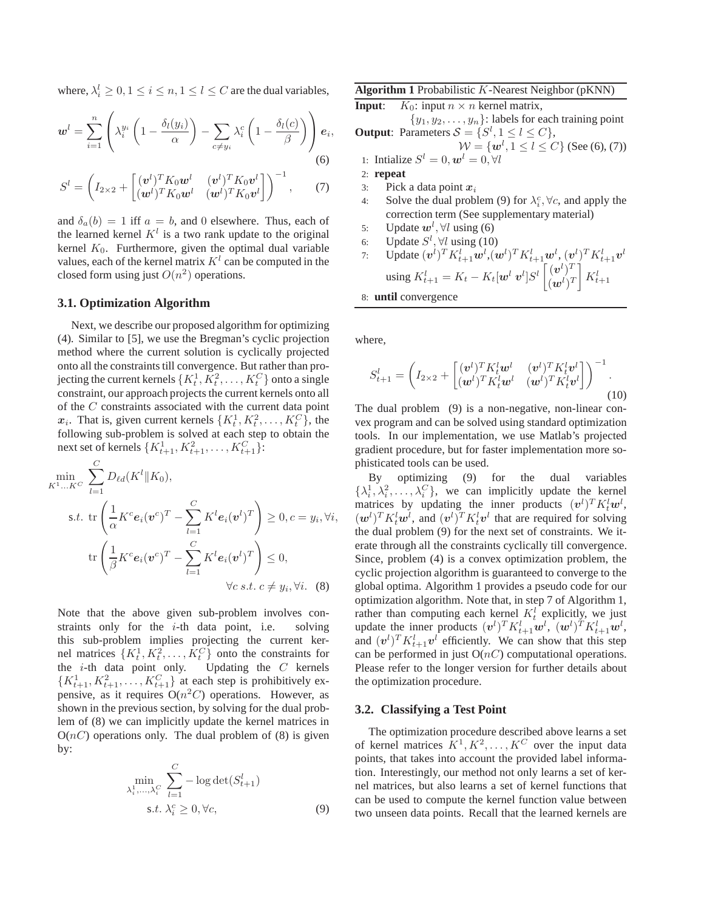where,  $\lambda_i^l \geq 0, 1 \leq i \leq n, 1 \leq l \leq C$  are the dual variables,

$$
\boldsymbol{w}^{l} = \sum_{i=1}^{n} \left( \lambda_i^{y_i} \left( 1 - \frac{\delta_l(y_i)}{\alpha} \right) - \sum_{c \neq y_i} \lambda_i^c \left( 1 - \frac{\delta_l(c)}{\beta} \right) \right) \boldsymbol{e}_i,
$$
\n
$$
(6)
$$

$$
S^{l} = \left(I_{2\times2} + \begin{bmatrix} (\boldsymbol{v}^{l})^{T} K_{0} \boldsymbol{w}^{l} & (\boldsymbol{v}^{l})^{T} K_{0} \boldsymbol{v}^{l} \\ (\boldsymbol{w}^{l})^{T} K_{0} \boldsymbol{w}^{l} & (\boldsymbol{w}^{l})^{T} K_{0} \boldsymbol{v}^{l} \end{bmatrix}\right)^{-1}, \qquad (7)
$$

and  $\delta_a(b) = 1$  iff  $a = b$ , and 0 elsewhere. Thus, each of the learned kernel  $K^l$  is a two rank update to the original kernel  $K_0$ . Furthermore, given the optimal dual variable values, each of the kernel matrix  $K^l$  can be computed in the closed form using just  $O(n^2)$  operations.

# **3.1. Optimization Algorithm**

Next, we describe our proposed algorithm for optimizing (4). Similar to [5], we use the Bregman's cyclic projection method where the current solution is cyclically projected onto all the constraints till convergence. But rather than projecting the current kernels  $\{K_t^1, K_t^2, \ldots, K_t^C\}$  onto a single constraint, our approach projects the current kernels onto all of the C constraints associated with the current data point  $x_i$ . That is, given current kernels  $\{K_t^1, K_t^2, \ldots, K_t^C\}$ , the following sub-problem is solved at each step to obtain the next set of kernels  $\{K_{t+1}^1, K_{t+1}^2, \ldots, K_{t+1}^C\}$ :

$$
\min_{K^1...K^C} \sum_{l=1}^C D_{\ell d}(K^l \| K_0),
$$
\n
$$
\text{s.t. } \text{tr}\left(\frac{1}{\alpha} K^c \mathbf{e}_i(\mathbf{v}^c)^T - \sum_{l=1}^C K^l \mathbf{e}_i(\mathbf{v}^l)^T\right) \ge 0, c = y_i, \forall i,
$$
\n
$$
\text{tr}\left(\frac{1}{\beta} K^c \mathbf{e}_i(\mathbf{v}^c)^T - \sum_{l=1}^C K^l \mathbf{e}_i(\mathbf{v}^l)^T\right) \le 0,
$$
\n
$$
\forall c \text{ s.t. } c \neq y_i, \forall i. \quad (8)
$$

Note that the above given sub-problem involves constraints only for the  $i$ -th data point, i.e. solving this sub-problem implies projecting the current kernel matrices  $\{K_t^1, K_t^2, \ldots, K_t^C\}$  onto the constraints for the  $i$ -th data point only. Updating the  $C$  kernels  $\{K_{t+1}^1, K_{t+1}^2, \ldots, K_{t+1}^C\}$  at each step is prohibitively expensive, as it requires  $O(n^2C)$  operations. However, as shown in the previous section, by solving for the dual problem of (8) we can implicitly update the kernel matrices in  $O(nC)$  operations only. The dual problem of (8) is given by:

$$
\min_{\substack{\lambda_i^1,\ldots,\lambda_i^C \\ s.t. \ \lambda_i^c \ge 0, \ \forall c}} \sum_{l=1}^C -\log \det(S_{t+1}^l)
$$
\n
$$
\text{s.t. } \lambda_i^c \ge 0, \forall c,
$$
\n
$$
\tag{9}
$$

**Algorithm 1** Probabilistic K-Nearest Neighbor (pKNN)

**Input**:  $K_0$ : input  $n \times n$  kernel matrix,  $\{y_1, y_2, \ldots, y_n\}$ : labels for each training point

**Output**: Parameters  $S = \{S^l, 1 \leq l \leq C\},\$  $W = \{w^l, 1 \leq l \leq C\}$  (See (6), (7)) 1: Intialize  $S^l = 0$ ,  $\mathbf{w}^l = 0$ ,  $\forall l$ 

2: **repeat**

- 3: Pick a data point  $x_i$
- 4: Solve the dual problem (9) for  $\lambda_i^c$ ,  $\forall c$ , and apply the correction term (See supplementary material)
- 5: Update  $w^l$ ,  $\forall l$  using (6)
- 6: Update  $S^l$ ,  $\forall l$  using (10)
- 7: Update  $(v^l)^T K_{t+1}^l w^l, (w^l)^T K_{t+1}^l w^l, (v^l)^T K_{t+1}^l v^l$ using  $K_{t+1}^l = K_t - K_t[w^l v^l] S^l \begin{bmatrix} (v^l)^T \\ (uv^l)^T \end{bmatrix}$  $K_{t+1}^l$

 $(\boldsymbol{w}^{l})^{T}$ 8: **until** convergence

where,

$$
S_{t+1}^l = \left( I_{2\times 2} + \begin{bmatrix} (\boldsymbol{v}^l)^T K_t^l \boldsymbol{w}^l & (\boldsymbol{v}^l)^T K_t^l \boldsymbol{v}^l \\ (\boldsymbol{w}^l)^T K_t^l \boldsymbol{w}^l & (\boldsymbol{w}^l)^T K_t^l \boldsymbol{v}^l \end{bmatrix} \right)^{-1}.
$$
\n(10)

The dual problem (9) is a non-negative, non-linear convex program and can be solved using standard optimization tools. In our implementation, we use Matlab's projected gradient procedure, but for faster implementation more sophisticated tools can be used.

By optimizing (9) for the dual variables  $\{\lambda_i^1, \lambda_i^2, \dots, \lambda_i^C\}$ , we can implicitly update the kernel matrices by updating the inner products  $(v^l)^T K_t^l w^l$ ,  $(w^{l})^{T} K_t^{l} w^{l}$ , and  $(w^{l})^{T} K_t^{l} v^{l}$  that are required for solving the dual problem (9) for the next set of constraints. We iterate through all the constraints cyclically till convergence. Since, problem (4) is a convex optimization problem, the cyclic projection algorithm is guaranteed to converge to the global optima. Algorithm 1 provides a pseudo code for our optimization algorithm. Note that, in step 7 of Algorithm 1, rather than computing each kernel  $K_t^l$  explicitly, we just update the inner products  $(v^l)^T K_{t+1}^l w^l$ ,  $(w^l)^T K_{t+1}^l w^l$ , and  $(v^l)^T K_{t+1}^l v^l$  efficiently. We can show that this step can be performed in just  $O(nC)$  computational operations. Please refer to the longer version for further details about the optimization procedure.

#### **3.2. Classifying a Test Point**

The optimization procedure described above learns a set of kernel matrices  $K^1, K^2, \ldots, K^C$  over the input data points, that takes into account the provided label information. Interestingly, our method not only learns a set of kernel matrices, but also learns a set of kernel functions that can be used to compute the kernel function value between two unseen data points. Recall that the learned kernels are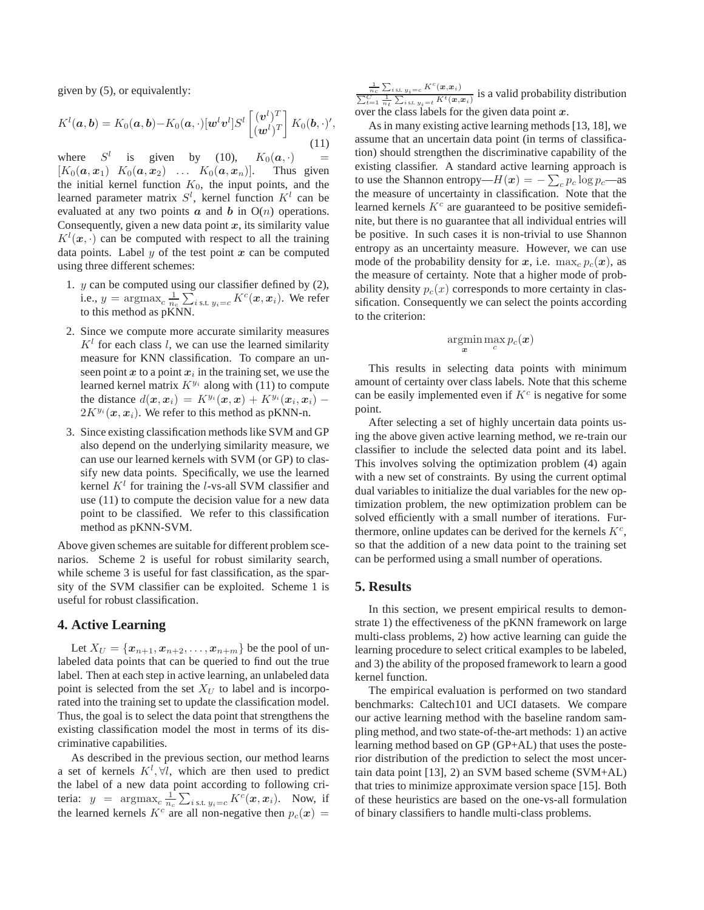given by (5), or equivalently:

$$
K^l(\boldsymbol{a},\boldsymbol{b})=K_0(\boldsymbol{a},\boldsymbol{b})-K_0(\boldsymbol{a},\cdot)[\boldsymbol{w}^l\boldsymbol{v}^l]S^l\begin{bmatrix}(\boldsymbol{v}^l)^T\\(\boldsymbol{w}^l)^T\end{bmatrix}K_0(\boldsymbol{b},\cdot)',
$$
\n(11)

where  $S^l$ is given by (10),  $K_0(\mathbf{a}, \cdot)$  $[K_0(a, x_1)$   $K_0(a, x_2)$  ...  $K_0(a, x_n)$ ]. Thus given the initial kernel function  $K_0$ , the input points, and the learned parameter matrix  $S^l$ , kernel function  $K^l$  can be evaluated at any two points  $\alpha$  and  $\dot{b}$  in  $O(n)$  operations. Consequently, given a new data point  $x$ , its similarity value  $K^{l}(\boldsymbol{x},\cdot)$  can be computed with respect to all the training data points. Label  $y$  of the test point  $x$  can be computed using three different schemes:

- 1.  $y$  can be computed using our classifier defined by  $(2)$ , i.e.,  $y = \text{argmax}_c \frac{1}{n_c} \sum_{i \text{ s.t. } y_i = c} K^c(\boldsymbol{x}, \boldsymbol{x}_i)$ . We refer to this method as pKNN.
- 2. Since we compute more accurate similarity measures  $K<sup>l</sup>$  for each class l, we can use the learned similarity measure for KNN classification. To compare an unseen point  $x$  to a point  $x_i$  in the training set, we use the learned kernel matrix  $K^{y_i}$  along with (11) to compute the distance  $d(\mathbf{x}, \mathbf{x}_i) = K^{y_i}(\mathbf{x}, \mathbf{x}) + K^{y_i}(\mathbf{x}_i, \mathbf{x}_i)$  –  $2K^{y_i}(\mathbf{x}, \mathbf{x}_i)$ . We refer to this method as pKNN-n.
- 3. Since existing classification methods like SVM and GP also depend on the underlying similarity measure, we can use our learned kernels with SVM (or GP) to classify new data points. Specifically, we use the learned kernel  $K^l$  for training the *l*-vs-all SVM classifier and use (11) to compute the decision value for a new data point to be classified. We refer to this classification method as pKNN-SVM.

Above given schemes are suitable for different problem scenarios. Scheme 2 is useful for robust similarity search, while scheme 3 is useful for fast classification, as the sparsity of the SVM classifier can be exploited. Scheme 1 is useful for robust classification.

# **4. Active Learning**

Let  $X_U = \{x_{n+1}, x_{n+2}, \ldots, x_{n+m}\}\)$  be the pool of unlabeled data points that can be queried to find out the true label. Then at each step in active learning, an unlabeled data point is selected from the set  $X_U$  to label and is incorporated into the training set to update the classification model. Thus, the goal is to select the data point that strengthens the existing classification model the most in terms of its discriminative capabilities.

As described in the previous section, our method learns a set of kernels  $K^l$ ,  $\forall l$ , which are then used to predict the label of a new data point according to following criteria:  $y = \arg \max_{c} \frac{1}{n_c} \sum_{i \text{ s.t. } y_i = c} K^c(\boldsymbol{x}, \boldsymbol{x}_i)$ . Now, if the learned kernels  $K^c$  are all non-negative then  $p_c(x) =$ 

 $\frac{1}{n_c}\sum_{i \text{ s.t. } y_i = c} K^c(\boldsymbol{x}, \boldsymbol{x}_i)$  $\frac{n_c}{\sum_{t=1}^C \frac{1}{n_t} \sum_{i \leq t} y_i = t}$   $K^t(\mathbf{x}, \mathbf{x}_i)$  is a valid probability distribution over the class labels for the given data point  $x$ .

As in many existing active learning methods [13, 18], we assume that an uncertain data point (in terms of classification) should strengthen the discriminative capability of the existing classifier. A standard active learning approach is to use the Shannon entropy— $H(\mathbf{x}) = -\sum_{c} p_c \log p_c$ —as the measure of uncertainty in classification. Note that the learned kernels  $K^c$  are guaranteed to be positive semidefinite, but there is no guarantee that all individual entries will be positive. In such cases it is non-trivial to use Shannon entropy as an uncertainty measure. However, we can use mode of the probability density for x, i.e.  $\max_c p_c(x)$ , as the measure of certainty. Note that a higher mode of probability density  $p_c(x)$  corresponds to more certainty in classification. Consequently we can select the points according to the criterion:

$$
\operatornamewithlimits{argmin}_{\bm{x}} \max_{c} p_c(\bm{x})
$$

This results in selecting data points with minimum amount of certainty over class labels. Note that this scheme can be easily implemented even if  $K^c$  is negative for some point.

After selecting a set of highly uncertain data points using the above given active learning method, we re-train our classifier to include the selected data point and its label. This involves solving the optimization problem (4) again with a new set of constraints. By using the current optimal dual variables to initialize the dual variables for the new optimization problem, the new optimization problem can be solved efficiently with a small number of iterations. Furthermore, online updates can be derived for the kernels  $K^c$ , so that the addition of a new data point to the training set can be performed using a small number of operations.

# **5. Results**

In this section, we present empirical results to demonstrate 1) the effectiveness of the pKNN framework on large multi-class problems, 2) how active learning can guide the learning procedure to select critical examples to be labeled, and 3) the ability of the proposed framework to learn a good kernel function.

The empirical evaluation is performed on two standard benchmarks: Caltech101 and UCI datasets. We compare our active learning method with the baseline random sampling method, and two state-of-the-art methods: 1) an active learning method based on GP (GP+AL) that uses the posterior distribution of the prediction to select the most uncertain data point [13], 2) an SVM based scheme (SVM+AL) that tries to minimize approximate version space [15]. Both of these heuristics are based on the one-vs-all formulation of binary classifiers to handle multi-class problems.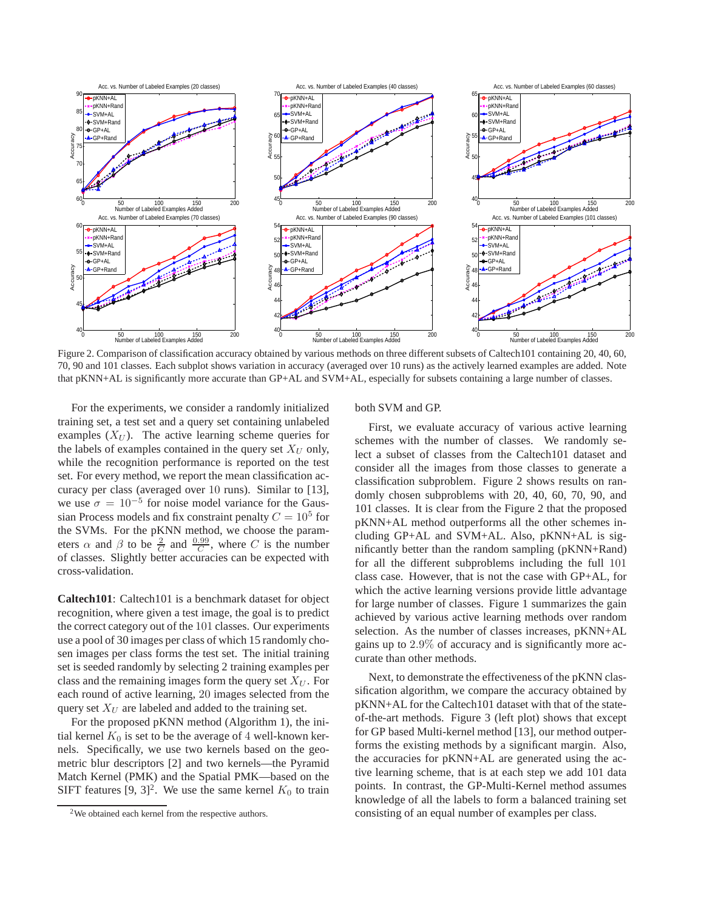

Figure 2. Comparison of classification accuracy obtained by various methods on three different subsets of Caltech101 containing 20, 40, 60, 70, 90 and 101 classes. Each subplot shows variation in accuracy (averaged over 10 runs) as the actively learned examples are added. Note that pKNN+AL is significantly more accurate than GP+AL and SVM+AL, especially for subsets containing a large number of classes.

For the experiments, we consider a randomly initialized training set, a test set and a query set containing unlabeled examples  $(X_U)$ . The active learning scheme queries for the labels of examples contained in the query set  $X_U$  only, while the recognition performance is reported on the test set. For every method, we report the mean classification accuracy per class (averaged over 10 runs). Similar to [13], we use  $\sigma = 10^{-5}$  for noise model variance for the Gaussian Process models and fix constraint penalty  $C = 10^5$  for the SVMs. For the pKNN method, we choose the parameters  $\alpha$  and  $\beta$  to be  $\frac{2}{C}$  and  $\frac{0.99}{C}$ , where C is the number of classes. Slightly better accuracies can be expected with cross-validation.

**Caltech101**: Caltech101 is a benchmark dataset for object recognition, where given a test image, the goal is to predict the correct category out of the 101 classes. Our experiments use a pool of 30 images per class of which 15 randomly chosen images per class forms the test set. The initial training set is seeded randomly by selecting 2 training examples per class and the remaining images form the query set  $X_U$ . For each round of active learning, 20 images selected from the query set  $X_U$  are labeled and added to the training set.

For the proposed pKNN method (Algorithm 1), the initial kernel  $K_0$  is set to be the average of 4 well-known kernels. Specifically, we use two kernels based on the geometric blur descriptors [2] and two kernels—the Pyramid Match Kernel (PMK) and the Spatial PMK—based on the SIFT features [9, 3]<sup>2</sup>. We use the same kernel  $K_0$  to train

#### both SVM and GP.

First, we evaluate accuracy of various active learning schemes with the number of classes. We randomly select a subset of classes from the Caltech101 dataset and consider all the images from those classes to generate a classification subproblem. Figure 2 shows results on randomly chosen subproblems with 20, 40, 60, 70, 90, and 101 classes. It is clear from the Figure 2 that the proposed pKNN+AL method outperforms all the other schemes including GP+AL and SVM+AL. Also, pKNN+AL is significantly better than the random sampling (pKNN+Rand) for all the different subproblems including the full 101 class case. However, that is not the case with GP+AL, for which the active learning versions provide little advantage for large number of classes. Figure 1 summarizes the gain achieved by various active learning methods over random selection. As the number of classes increases, pKNN+AL gains up to 2.9% of accuracy and is significantly more accurate than other methods.

Next, to demonstrate the effectiveness of the pKNN classification algorithm, we compare the accuracy obtained by pKNN+AL for the Caltech101 dataset with that of the stateof-the-art methods. Figure 3 (left plot) shows that except for GP based Multi-kernel method [13], our method outperforms the existing methods by a significant margin. Also, the accuracies for pKNN+AL are generated using the active learning scheme, that is at each step we add 101 data points. In contrast, the GP-Multi-Kernel method assumes knowledge of all the labels to form a balanced training set consisting of an equal number of examples per class.

<sup>&</sup>lt;sup>2</sup>We obtained each kernel from the respective authors.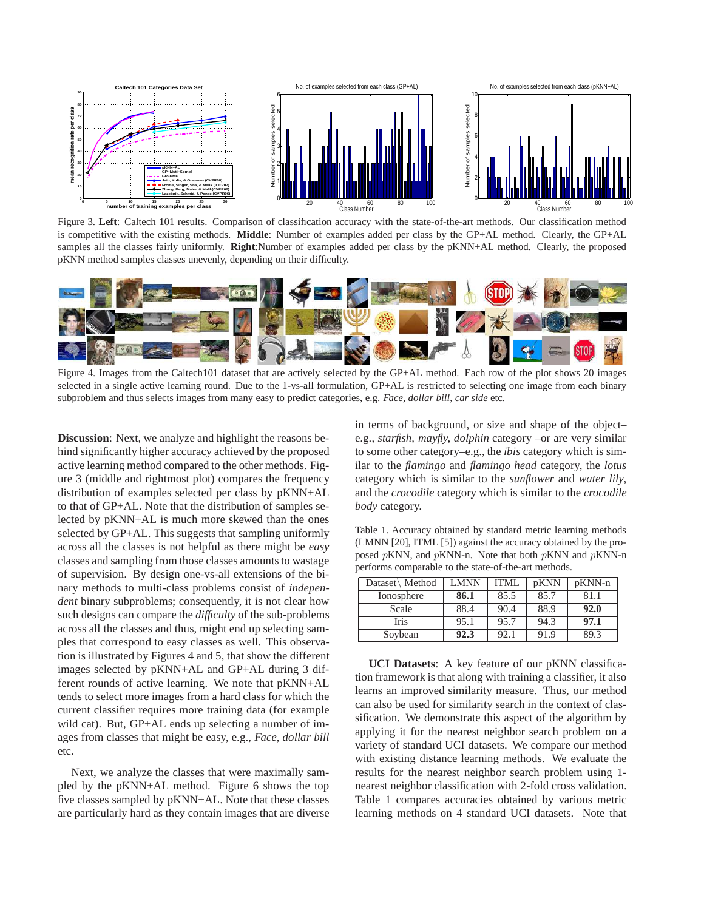

Figure 3. **Left**: Caltech 101 results. Comparison of classification accuracy with the state-of-the-art methods. Our classification method is competitive with the existing methods. **Middle**: Number of examples added per class by the GP+AL method. Clearly, the GP+AL samples all the classes fairly uniformly. **Right**:Number of examples added per class by the pKNN+AL method. Clearly, the proposed pKNN method samples classes unevenly, depending on their difficulty.



Figure 4. Images from the Caltech101 dataset that are actively selected by the GP+AL method. Each row of the plot shows 20 images selected in a single active learning round. Due to the 1-vs-all formulation, GP+AL is restricted to selecting one image from each binary subproblem and thus selects images from many easy to predict categories, e.g. *Face*, *dollar bill*, *car side* etc.

**Discussion**: Next, we analyze and highlight the reasons behind significantly higher accuracy achieved by the proposed active learning method compared to the other methods. Figure 3 (middle and rightmost plot) compares the frequency distribution of examples selected per class by pKNN+AL to that of GP+AL. Note that the distribution of samples selected by pKNN+AL is much more skewed than the ones selected by GP+AL. This suggests that sampling uniformly across all the classes is not helpful as there might be *easy* classes and sampling from those classes amounts to wastage of supervision. By design one-vs-all extensions of the binary methods to multi-class problems consist of *independent* binary subproblems; consequently, it is not clear how such designs can compare the *difficulty* of the sub-problems across all the classes and thus, might end up selecting samples that correspond to easy classes as well. This observation is illustrated by Figures 4 and 5, that show the different images selected by pKNN+AL and GP+AL during 3 different rounds of active learning. We note that pKNN+AL tends to select more images from a hard class for which the current classifier requires more training data (for example wild cat). But, GP+AL ends up selecting a number of images from classes that might be easy, e.g., *Face*, *dollar bill* etc.

Next, we analyze the classes that were maximally sampled by the pKNN+AL method. Figure 6 shows the top five classes sampled by pKNN+AL. Note that these classes are particularly hard as they contain images that are diverse in terms of background, or size and shape of the object– e.g., *starfish, mayfly, dolphin* category –or are very similar to some other category–e.g., the *ibis* category which is similar to the *flamingo* and *flamingo head* category, the *lotus* category which is similar to the *sunflower* and *water lily*, and the *crocodile* category which is similar to the *crocodile body* category.

Table 1. Accuracy obtained by standard metric learning methods (LMNN [20], ITML [5]) against the accuracy obtained by the proposed  $pKNN$ , and  $pKNN$ -n. Note that both  $pKNN$  and  $pKNN$ -n performs comparable to the state-of-the-art methods.

| Dataset\ Method | <b>LMNN</b> | ITML | <b>pKNN</b> | pKNN-n |
|-----------------|-------------|------|-------------|--------|
| Ionosphere      | 86.1        | 85.5 | 85.7        | 81.1   |
| Scale           | 88.4        | 90.4 | 88.9        | 92.0   |
| Iris            | 95.1        | 95.7 | 94.3        | 97.1   |
| Soybean         | 92.3        | 92.1 | 91.9        | 89.3   |

**UCI Datasets**: A key feature of our pKNN classification framework is that along with training a classifier, it also learns an improved similarity measure. Thus, our method can also be used for similarity search in the context of classification. We demonstrate this aspect of the algorithm by applying it for the nearest neighbor search problem on a variety of standard UCI datasets. We compare our method with existing distance learning methods. We evaluate the results for the nearest neighbor search problem using 1 nearest neighbor classification with 2-fold cross validation. Table 1 compares accuracies obtained by various metric learning methods on 4 standard UCI datasets. Note that